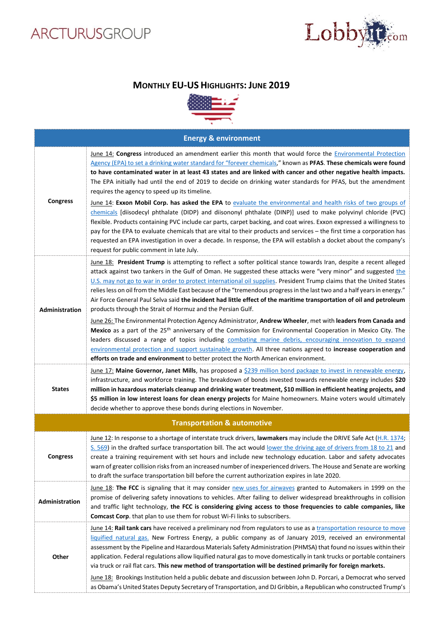## ARCTURUSGROUP



## **MONTHLY EU-US HIGHLIGHTS: JUNE 2019**



| <b>Energy &amp; environment</b>        |                                                                                                                                                                                                                                                                                                                                                                                                                                                                                                                                                                                                                                                                                                                                                                                                                                                                                                                                                                                                                                                                                                                                                                                                                                               |  |
|----------------------------------------|-----------------------------------------------------------------------------------------------------------------------------------------------------------------------------------------------------------------------------------------------------------------------------------------------------------------------------------------------------------------------------------------------------------------------------------------------------------------------------------------------------------------------------------------------------------------------------------------------------------------------------------------------------------------------------------------------------------------------------------------------------------------------------------------------------------------------------------------------------------------------------------------------------------------------------------------------------------------------------------------------------------------------------------------------------------------------------------------------------------------------------------------------------------------------------------------------------------------------------------------------|--|
| <b>Congress</b>                        | June 14: Congress introduced an amendment earlier this month that would force the <b>Environmental Protection</b><br>Agency (EPA) to set a drinking water standard for "forever chemicals," known as PFAS. These chemicals were found<br>to have contaminated water in at least 43 states and are linked with cancer and other negative health impacts.<br>The EPA initially had until the end of 2019 to decide on drinking water standards for PFAS, but the amendment<br>requires the agency to speed up its timeline.<br>June 14: Exxon Mobil Corp. has asked the EPA to evaluate the environmental and health risks of two groups of<br>chemicals [diisodecyl phthalate (DIDP) and diisononyl phthalate (DINP)] used to make polyvinyl chloride (PVC)<br>flexible. Products containing PVC include car parts, carpet backing, and coat wires. Exxon expressed a willingness to<br>pay for the EPA to evaluate chemicals that are vital to their products and services - the first time a corporation has<br>requested an EPA investigation in over a decade. In response, the EPA will establish a docket about the company's<br>request for public comment in late July.                                                                |  |
| Administration                         | June 18: President Trump is attempting to reflect a softer political stance towards Iran, despite a recent alleged<br>attack against two tankers in the Gulf of Oman. He suggested these attacks were "very minor" and suggested the<br>U.S. may not go to war in order to protect international oil supplies. President Trump claims that the United States<br>relies less on oil from the Middle East because of the "tremendous progress in the last two and a half years in energy."<br>Air Force General Paul Selva said the incident had little effect of the maritime transportation of oil and petroleum<br>products through the Strait of Hormuz and the Persian Gulf.<br>June 26: The Environmental Protection Agency Administrator, Andrew Wheeler, met with leaders from Canada and<br>Mexico as a part of the 25 <sup>th</sup> anniversary of the Commission for Environmental Cooperation in Mexico City. The<br>leaders discussed a range of topics including combating marine debris, encouraging innovation to expand<br>environmental protection and support sustainable growth. All three nations agreed to increase cooperation and<br>efforts on trade and environment to better protect the North American environment. |  |
| <b>States</b>                          | June 17: Maine Governor, Janet Mills, has proposed a \$239 million bond package to invest in renewable energy,<br>infrastructure, and workforce training. The breakdown of bonds invested towards renewable energy includes \$20<br>million in hazardous materials cleanup and drinking water treatment, \$10 million in efficient heating projects, and<br>\$5 million in low interest loans for clean energy projects for Maine homeowners. Maine voters would ultimately<br>decide whether to approve these bonds during elections in November.                                                                                                                                                                                                                                                                                                                                                                                                                                                                                                                                                                                                                                                                                            |  |
| <b>Transportation &amp; automotive</b> |                                                                                                                                                                                                                                                                                                                                                                                                                                                                                                                                                                                                                                                                                                                                                                                                                                                                                                                                                                                                                                                                                                                                                                                                                                               |  |
| <b>Congress</b>                        | June 12: In response to a shortage of interstate truck drivers, lawmakers may include the DRIVE Safe Act (H.R. 1374;<br>S. 569) in the drafted surface transportation bill. The act would lower the driving age of drivers from 18 to 21 and<br>create a training requirement with set hours and include new technology education. Labor and safety advocates<br>warn of greater collision risks from an increased number of inexperienced drivers. The House and Senate are working<br>to draft the surface transportation bill before the current authorization expires in late 2020.                                                                                                                                                                                                                                                                                                                                                                                                                                                                                                                                                                                                                                                       |  |
| Administration                         | June 18: The FCC is signaling that it may consider new uses for airwaves granted to Automakers in 1999 on the<br>promise of delivering safety innovations to vehicles. After failing to deliver widespread breakthroughs in collision<br>and traffic light technology, the FCC is considering giving access to those frequencies to cable companies, like<br>Comcast Corp. that plan to use them for robust Wi-Fi links to subscribers.                                                                                                                                                                                                                                                                                                                                                                                                                                                                                                                                                                                                                                                                                                                                                                                                       |  |
| Other                                  | June 14: Rail tank cars have received a preliminary nod from regulators to use as a transportation resource to move<br>liquified natural gas. New Fortress Energy, a public company as of January 2019, received an environmental<br>assessment by the Pipeline and Hazardous Materials Safety Administration (PHMSA) that found no issues within their<br>application. Federal regulations allow liquified natural gas to move domestically in tank trucks or portable containers<br>via truck or rail flat cars. This new method of transportation will be destined primarily for foreign markets.<br>June 18: Brookings Institution held a public debate and discussion between John D. Porcari, a Democrat who served                                                                                                                                                                                                                                                                                                                                                                                                                                                                                                                     |  |
|                                        | as Obama's United States Deputy Secretary of Transportation, and DJ Gribbin, a Republican who constructed Trump's                                                                                                                                                                                                                                                                                                                                                                                                                                                                                                                                                                                                                                                                                                                                                                                                                                                                                                                                                                                                                                                                                                                             |  |